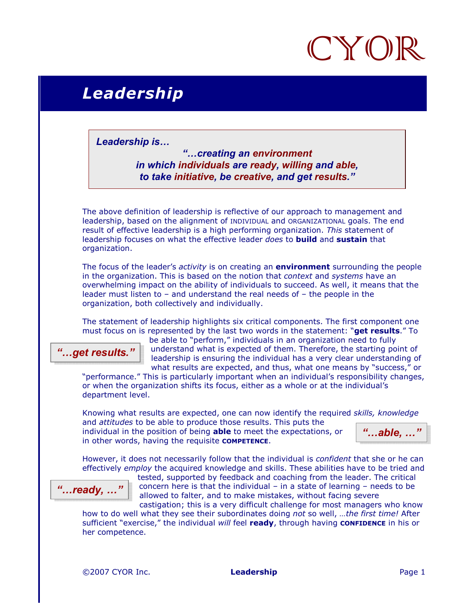

## Leadership

Leadership is…

"…creating an environment in which individuals are ready, willing and able, to take initiative, be creative, and get results."

The above definition of leadership is reflective of our approach to management and leadership, based on the alignment of INDIVIDUAL and ORGANIZATIONAL goals. The end result of effective leadership is a high performing organization. This statement of leadership focuses on what the effective leader does to **build** and sustain that organization.

The focus of the leader's *activity* is on creating an **environment** surrounding the people in the organization. This is based on the notion that *context* and *systems* have an overwhelming impact on the ability of individuals to succeed. As well, it means that the leader must listen to – and understand the real needs of – the people in the organization, both collectively and individually.

The statement of leadership highlights six critical components. The first component one must focus on is represented by the last two words in the statement: "get results." To

"...get results."

be able to "perform," individuals in an organization need to fully understand what is expected of them. Therefore, the starting point of leadership is ensuring the individual has a very clear understanding of what results are expected, and thus, what one means by "success," or

"performance." This is particularly important when an individual's responsibility changes, or when the organization shifts its focus, either as a whole or at the individual's department level.

Knowing what results are expected, one can now identify the required skills, knowledge and attitudes to be able to produce those results. This puts the

individual in the position of being **able** to meet the expectations, or in other words, having the requisite **COMPETENCE.** 

" $...$ able,  $...$ "

However, it does not necessarily follow that the individual is *confident* that she or he can effectively employ the acquired knowledge and skills. These abilities have to be tried and



tested, supported by feedback and coaching from the leader. The critical concern here is that the individual – in a state of learning – needs to be allowed to falter, and to make mistakes, without facing severe castigation; this is a very difficult challenge for most managers who know

how to do well what they see their subordinates doing not so well, ...the first time! After sufficient "exercise," the individual will feel ready, through having CONFIDENCE in his or her competence.